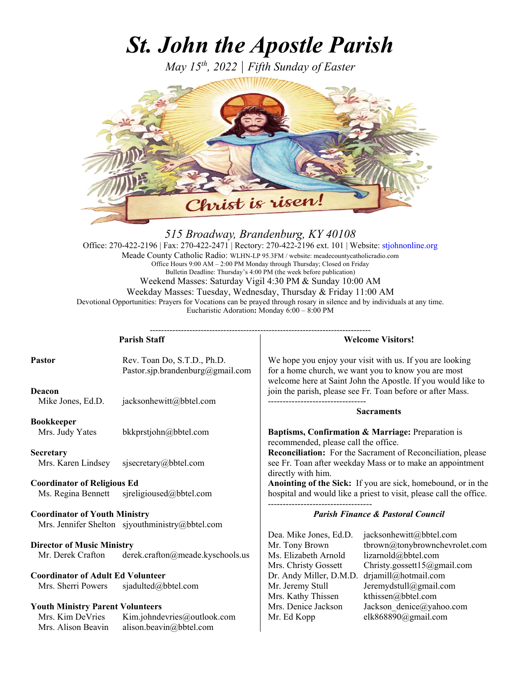# *St. John the Apostle Parish*

*May 15th, 2022 | Fifth Sunday of Easter*



# *515 Broadway, Brandenburg, KY 40108*

Office: 270-422-2196 | Fax: 270-422-2471 | Rectory: 270-422-2196 ext. 101 | Website: stjohnonline.org Meade County Catholic Radio: WLHN-LP 95.3FM / website: meadecountycatholicradio.com Office Hours 9:00 AM – 2:00 PM Monday through Thursday; Closed on Friday Bulletin Deadline: Thursday's 4:00 PM (the week before publication) Weekend Masses: Saturday Vigil 4:30 PM & Sunday 10:00 AM Weekday Masses: Tuesday, Wednesday, Thursday & Friday 11:00 AM Devotional Opportunities: Prayers for Vocations can be prayed through rosary in silence and by individuals at any time. Eucharistic Adoration**:** Monday 6:00 – 8:00 PM

------------------------------------------------------------------------------

| <b>Parish Staff</b>                                      |                                                                 | <b>Welcome Visitors!</b>                                       |                                                                                                                                                                                 |
|----------------------------------------------------------|-----------------------------------------------------------------|----------------------------------------------------------------|---------------------------------------------------------------------------------------------------------------------------------------------------------------------------------|
| Pastor                                                   | Rev. Toan Do, S.T.D., Ph.D.<br>Pastor.sjp.brandenburg@gmail.com |                                                                | We hope you enjoy your visit with us. If you are looking<br>for a home church, we want you to know you are most<br>welcome here at Saint John the Apostle. If you would like to |
| Deacon<br>Mike Jones, Ed.D.                              | jacksonhewitt@bbtel.com                                         |                                                                | join the parish, please see Fr. Toan before or after Mass.<br><b>Sacraments</b>                                                                                                 |
| <b>Bookkeeper</b><br>Mrs. Judy Yates                     | bkkprstjohn@bbtel.com                                           | recommended, please call the office.                           | Baptisms, Confirmation & Marriage: Preparation is                                                                                                                               |
| <b>Secretary</b><br>Mrs. Karen Lindsey                   | sjsecretary@bbtel.com                                           | directly with him.                                             | <b>Reconciliation:</b> For the Sacrament of Reconciliation, please<br>see Fr. Toan after weekday Mass or to make an appointment                                                 |
| <b>Coordinator of Religious Ed</b><br>Ms. Regina Bennett | sjreligioused@bbtel.com                                         |                                                                | Anointing of the Sick: If you are sick, homebound, or in the<br>hospital and would like a priest to visit, please call the office.                                              |
| <b>Coordinator of Youth Ministry</b>                     |                                                                 | <b>Parish Finance &amp; Pastoral Council</b>                   |                                                                                                                                                                                 |
|                                                          | Mrs. Jennifer Shelton sjyouthministry@bbtel.com                 | Dea. Mike Jones, Ed.D.                                         |                                                                                                                                                                                 |
| <b>Director of Music Ministry</b><br>Mr. Derek Crafton   | derek.crafton@meade.kyschools.us                                | Mr. Tony Brown<br>Ms. Elizabeth Arnold<br>Mrs. Christy Gossett | jacksonhewitt@bbtel.com<br>tbrown@tonybrownchevrolet.com<br>lizarnold@bbtel.com<br>Christy.gossett15@gmail.com                                                                  |
| <b>Coordinator of Adult Ed Volunteer</b>                 |                                                                 | Dr. Andy Miller, D.M.D.                                        | drjamill@hotmail.com                                                                                                                                                            |
| Mrs. Sherri Powers                                       | sjadulted@bbtel.com                                             | Mr. Jeremy Stull<br>Mrs. Kathy Thissen                         | Jeremydstull@gmail.com<br>kthissen@bbtel.com                                                                                                                                    |
| <b>Youth Ministry Parent Volunteers</b>                  |                                                                 | Mrs. Denice Jackson                                            | Jackson denice@yahoo.com                                                                                                                                                        |
| Mrs. Kim DeVries<br>Mrs. Alison Beavin                   | Kim.johndevries@outlook.com<br>alison.beavin@bbtel.com          | Mr. Ed Kopp                                                    | elk868890@gmail.com                                                                                                                                                             |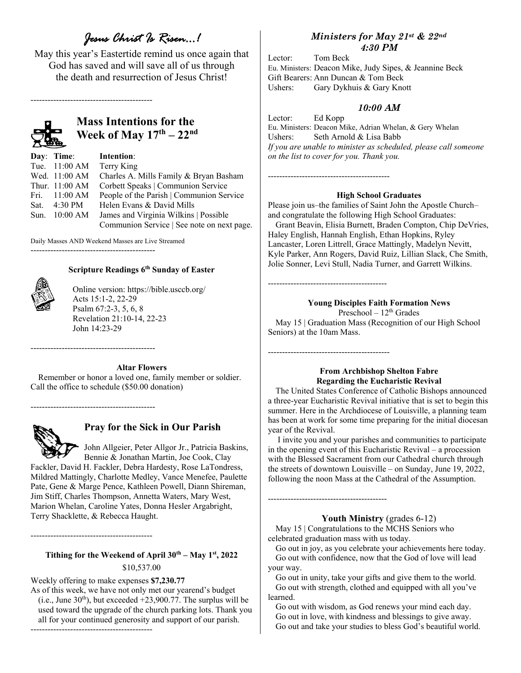# *Jesus Christ Is Risen…!*

May this year's Eastertide remind us once again that God has saved and will save all of us through the death and resurrection of Jesus Christ!

-------------------------------------------



# **Mass Intentions for the Week of May 17th – 22nd**

| Day: Time: Intention:    |                                            |
|--------------------------|--------------------------------------------|
| Tue. $11:00 \text{ AM}$  | Terry King                                 |
| Wed. 11:00 AM            | Charles A. Mills Family & Bryan Basham     |
| Thur. $11:00 \text{ AM}$ | Corbett Speaks   Communion Service         |
| Fri. $11:00 \text{ AM}$  | People of the Parish   Communion Service   |
| Sat. 4:30 PM             | Helen Evans & David Mills                  |
| Sun. 10:00 AM            | James and Virginia Wilkins   Possible      |
|                          | Communion Service   See note on next page. |

Daily Masses AND Weekend Masses are Live Streamed

--------------------------------------------



## **Scripture Readings 6th Sunday of Easter**

Online version: https://bible.usccb.org/ Acts 15:1-2, 22-29 Psalm 67:2-3, 5, 6, 8 Revelation 21:10-14, 22-23 John 14:23-29

#### **Altar Flowers**

Remember or honor a loved one, family member or soldier. Call the office to schedule (\$50.00 donation)

--------------------------------------------

--------------------------------------------



# **Pray for the Sick in Our Parish**

 John Allgeier, Peter Allgor Jr., Patricia Baskins, Bennie & Jonathan Martin, Joe Cook, Clay

Fackler, David H. Fackler, Debra Hardesty, Rose LaTondress, Mildred Mattingly, Charlotte Medley, Vance Menefee, Paulette Pate, Gene & Marge Pence, Kathleen Powell, Diann Shireman, Jim Stiff, Charles Thompson, Annetta Waters, Mary West, Marion Whelan, Caroline Yates, Donna Hesler Argabright, Terry Shacklette, & Rebecca Haught.

**Tithing for the Weekend of April**  $30^{th}$  **– May**  $1^{st}$ **, 2022** \$10,537.00

Weekly offering to make expenses **\$7,230.77** 

-------------------------------------------

As of this week, we have not only met our yearend's budget (i.e., June  $30<sup>th</sup>$ ), but exceeded +23,900.77. The surplus will be used toward the upgrade of the church parking lots. Thank you all for your continued generosity and support of our parish. -------------------------------------------

# *Ministers for May 21st & 22nd 4:30 PM*

Lector: Tom Beck Eu. Ministers: Deacon Mike, Judy Sipes, & Jeannine Beck Gift Bearers: Ann Duncan & Tom Beck Ushers: Gary Dykhuis & Gary Knott

# *10:00 AM*

Lector: Ed Kopp Eu. Ministers: Deacon Mike, Adrian Whelan, & Gery Whelan Ushers: Seth Arnold & Lisa Babb *If you are unable to minister as scheduled, please call someone on the list to cover for you. Thank you.*

#### **High School Graduates**

-------------------------------------------

------------------------------------------

-------------------------------------------

------------------------------------------

Please join us–the families of Saint John the Apostle Church– and congratulate the following High School Graduates:

Grant Beavin, Elisia Burnett, Braden Compton, Chip DeVries, Haley English, Hannah English, Ethan Hopkins, Ryley Lancaster, Loren Littrell, Grace Mattingly, Madelyn Nevitt, Kyle Parker, Ann Rogers, David Ruiz, Lillian Slack, Che Smith, Jolie Sonner, Levi Stull, Nadia Turner, and Garrett Wilkins.

#### **Young Disciples Faith Formation News**

Preschool –  $12<sup>th</sup>$  Grades May 15 | Graduation Mass (Recognition of our High School Seniors) at the 10am Mass.

## **From Archbishop Shelton Fabre Regarding the Eucharistic Revival**

The United States Conference of Catholic Bishops announced a three-year Eucharistic Revival initiative that is set to begin this summer. Here in the Archdiocese of Louisville, a planning team has been at work for some time preparing for the initial diocesan year of the Revival.

 I invite you and your parishes and communities to participate in the opening event of this Eucharistic Revival – a procession with the Blessed Sacrament from our Cathedral church through the streets of downtown Louisville – on Sunday, June 19, 2022, following the noon Mass at the Cathedral of the Assumption.

## **Youth Ministry** (grades 6-12)

May 15 | Congratulations to the MCHS Seniors who celebrated graduation mass with us today.

Go out in joy, as you celebrate your achievements here today. Go out with confidence, now that the God of love will lead your way.

Go out in unity, take your gifts and give them to the world. Go out with strength, clothed and equipped with all you've learned.

Go out with wisdom, as God renews your mind each day. Go out in love, with kindness and blessings to give away. Go out and take your studies to bless God's beautiful world.